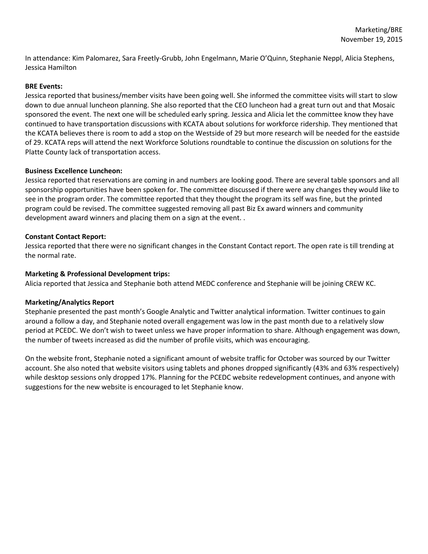In attendance: Kim Palomarez, Sara Freetly-Grubb, John Engelmann, Marie O'Quinn, Stephanie Neppl, Alicia Stephens, Jessica Hamilton

## **BRE Events:**

Jessica reported that business/member visits have been going well. She informed the committee visits will start to slow down to due annual luncheon planning. She also reported that the CEO luncheon had a great turn out and that Mosaic sponsored the event. The next one will be scheduled early spring. Jessica and Alicia let the committee know they have continued to have transportation discussions with KCATA about solutions for workforce ridership. They mentioned that the KCATA believes there is room to add a stop on the Westside of 29 but more research will be needed for the eastside of 29. KCATA reps will attend the next Workforce Solutions roundtable to continue the discussion on solutions for the Platte County lack of transportation access.

### **Business Excellence Luncheon:**

Jessica reported that reservations are coming in and numbers are looking good. There are several table sponsors and all sponsorship opportunities have been spoken for. The committee discussed if there were any changes they would like to see in the program order. The committee reported that they thought the program its self was fine, but the printed program could be revised. The committee suggested removing all past Biz Ex award winners and community development award winners and placing them on a sign at the event. .

### **Constant Contact Report:**

Jessica reported that there were no significant changes in the Constant Contact report. The open rate is till trending at the normal rate.

### **Marketing & Professional Development trips:**

Alicia reported that Jessica and Stephanie both attend MEDC conference and Stephanie will be joining CREW KC.

# **Marketing/Analytics Report**

Stephanie presented the past month's Google Analytic and Twitter analytical information. Twitter continues to gain around a follow a day, and Stephanie noted overall engagement was low in the past month due to a relatively slow period at PCEDC. We don't wish to tweet unless we have proper information to share. Although engagement was down, the number of tweets increased as did the number of profile visits, which was encouraging.

On the website front, Stephanie noted a significant amount of website traffic for October was sourced by our Twitter account. She also noted that website visitors using tablets and phones dropped significantly (43% and 63% respectively) while desktop sessions only dropped 17%. Planning for the PCEDC website redevelopment continues, and anyone with suggestions for the new website is encouraged to let Stephanie know.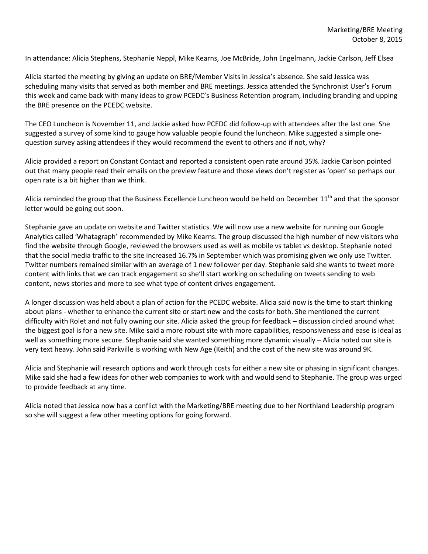In attendance: Alicia Stephens, Stephanie Neppl, Mike Kearns, Joe McBride, John Engelmann, Jackie Carlson, Jeff Elsea

Alicia started the meeting by giving an update on BRE/Member Visits in Jessica's absence. She said Jessica was scheduling many visits that served as both member and BRE meetings. Jessica attended the Synchronist User's Forum this week and came back with many ideas to grow PCEDC's Business Retention program, including branding and upping the BRE presence on the PCEDC website.

The CEO Luncheon is November 11, and Jackie asked how PCEDC did follow-up with attendees after the last one. She suggested a survey of some kind to gauge how valuable people found the luncheon. Mike suggested a simple onequestion survey asking attendees if they would recommend the event to others and if not, why?

Alicia provided a report on Constant Contact and reported a consistent open rate around 35%. Jackie Carlson pointed out that many people read their emails on the preview feature and those views don't register as 'open' so perhaps our open rate is a bit higher than we think.

Alicia reminded the group that the Business Excellence Luncheon would be held on December  $11<sup>th</sup>$  and that the sponsor letter would be going out soon.

Stephanie gave an update on website and Twitter statistics. We will now use a new website for running our Google Analytics called 'Whatagraph' recommended by Mike Kearns. The group discussed the high number of new visitors who find the website through Google, reviewed the browsers used as well as mobile vs tablet vs desktop. Stephanie noted that the social media traffic to the site increased 16.7% in September which was promising given we only use Twitter. Twitter numbers remained similar with an average of 1 new follower per day. Stephanie said she wants to tweet more content with links that we can track engagement so she'll start working on scheduling on tweets sending to web content, news stories and more to see what type of content drives engagement.

A longer discussion was held about a plan of action for the PCEDC website. Alicia said now is the time to start thinking about plans - whether to enhance the current site or start new and the costs for both. She mentioned the current difficulty with Rolet and not fully owning our site. Alicia asked the group for feedback – discussion circled around what the biggest goal is for a new site. Mike said a more robust site with more capabilities, responsiveness and ease is ideal as well as something more secure. Stephanie said she wanted something more dynamic visually - Alicia noted our site is very text heavy. John said Parkville is working with New Age (Keith) and the cost of the new site was around 9K.

Alicia and Stephanie will research options and work through costs for either a new site or phasing in significant changes. Mike said she had a few ideas for other web companies to work with and would send to Stephanie. The group was urged to provide feedback at any time.

Alicia noted that Jessica now has a conflict with the Marketing/BRE meeting due to her Northland Leadership program so she will suggest a few other meeting options for going forward.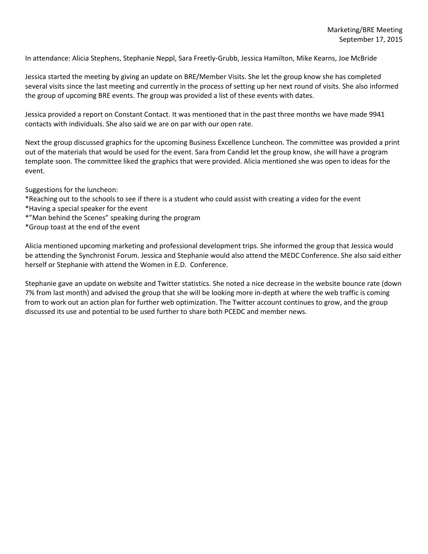In attendance: Alicia Stephens, Stephanie Neppl, Sara Freetly-Grubb, Jessica Hamilton, Mike Kearns, Joe McBride

Jessica started the meeting by giving an update on BRE/Member Visits. She let the group know she has completed several visits since the last meeting and currently in the process of setting up her next round of visits. She also informed the group of upcoming BRE events. The group was provided a list of these events with dates.

Jessica provided a report on Constant Contact. It was mentioned that in the past three months we have made 9941 contacts with individuals. She also said we are on par with our open rate.

Next the group discussed graphics for the upcoming Business Excellence Luncheon. The committee was provided a print out of the materials that would be used for the event. Sara from Candid let the group know, she will have a program template soon. The committee liked the graphics that were provided. Alicia mentioned she was open to ideas for the event.

Suggestions for the luncheon:

- \*Reaching out to the schools to see if there is a student who could assist with creating a video for the event
- \*Having a special speaker for the event
- \*"Man behind the Scenes" speaking during the program
- \*Group toast at the end of the event

Alicia mentioned upcoming marketing and professional development trips. She informed the group that Jessica would be attending the Synchronist Forum. Jessica and Stephanie would also attend the MEDC Conference. She also said either herself or Stephanie with attend the Women in E.D. Conference.

Stephanie gave an update on website and Twitter statistics. She noted a nice decrease in the website bounce rate (down 7% from last month) and advised the group that she will be looking more in-depth at where the web traffic is coming from to work out an action plan for further web optimization. The Twitter account continues to grow, and the group discussed its use and potential to be used further to share both PCEDC and member news.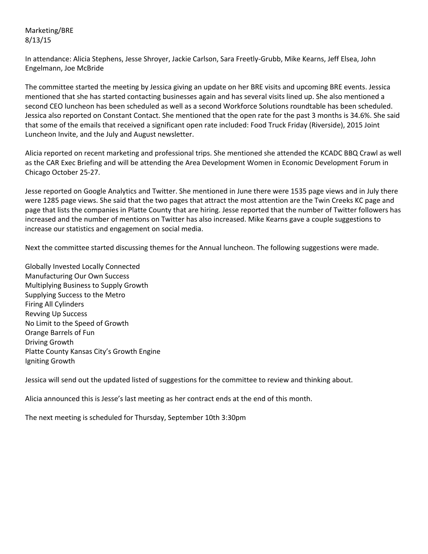Marketing/BRE 8/13/15

In attendance: Alicia Stephens, Jesse Shroyer, Jackie Carlson, Sara Freetly-Grubb, Mike Kearns, Jeff Elsea, John Engelmann, Joe McBride

The committee started the meeting by Jessica giving an update on her BRE visits and upcoming BRE events. Jessica mentioned that she has started contacting businesses again and has several visits lined up. She also mentioned a second CEO luncheon has been scheduled as well as a second Workforce Solutions roundtable has been scheduled. Jessica also reported on Constant Contact. She mentioned that the open rate for the past 3 months is 34.6%. She said that some of the emails that received a significant open rate included: Food Truck Friday (Riverside), 2015 Joint Luncheon Invite, and the July and August newsletter.

Alicia reported on recent marketing and professional trips. She mentioned she attended the KCADC BBQ Crawl as well as the CAR Exec Briefing and will be attending the Area Development Women in Economic Development Forum in Chicago October 25-27.

Jesse reported on Google Analytics and Twitter. She mentioned in June there were 1535 page views and in July there were 1285 page views. She said that the two pages that attract the most attention are the Twin Creeks KC page and page that lists the companies in Platte County that are hiring. Jesse reported that the number of Twitter followers has increased and the number of mentions on Twitter has also increased. Mike Kearns gave a couple suggestions to increase our statistics and engagement on social media.

Next the committee started discussing themes for the Annual luncheon. The following suggestions were made.

Globally Invested Locally Connected Manufacturing Our Own Success Multiplying Business to Supply Growth Supplying Success to the Metro Firing All Cylinders Revving Up Success No Limit to the Speed of Growth Orange Barrels of Fun Driving Growth Platte County Kansas City's Growth Engine Igniting Growth

Jessica will send out the updated listed of suggestions for the committee to review and thinking about.

Alicia announced this is Jesse's last meeting as her contract ends at the end of this month.

The next meeting is scheduled for Thursday, September 10th 3:30pm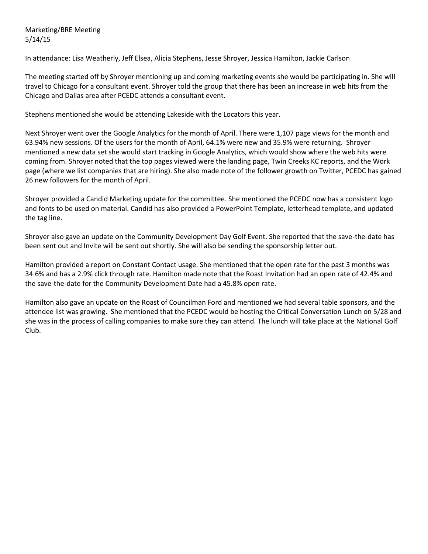Marketing/BRE Meeting 5/14/15

In attendance: Lisa Weatherly, Jeff Elsea, Alicia Stephens, Jesse Shroyer, Jessica Hamilton, Jackie Carlson

The meeting started off by Shroyer mentioning up and coming marketing events she would be participating in. She will travel to Chicago for a consultant event. Shroyer told the group that there has been an increase in web hits from the Chicago and Dallas area after PCEDC attends a consultant event.

Stephens mentioned she would be attending Lakeside with the Locators this year.

Next Shroyer went over the Google Analytics for the month of April. There were 1,107 page views for the month and 63.94% new sessions. Of the users for the month of April, 64.1% were new and 35.9% were returning. Shroyer mentioned a new data set she would start tracking in Google Analytics, which would show where the web hits were coming from. Shroyer noted that the top pages viewed were the landing page, Twin Creeks KC reports, and the Work page (where we list companies that are hiring). She also made note of the follower growth on Twitter, PCEDC has gained 26 new followers for the month of April.

Shroyer provided a Candid Marketing update for the committee. She mentioned the PCEDC now has a consistent logo and fonts to be used on material. Candid has also provided a PowerPoint Template, letterhead template, and updated the tag line.

Shroyer also gave an update on the Community Development Day Golf Event. She reported that the save-the-date has been sent out and Invite will be sent out shortly. She will also be sending the sponsorship letter out.

Hamilton provided a report on Constant Contact usage. She mentioned that the open rate for the past 3 months was 34.6% and has a 2.9% click through rate. Hamilton made note that the Roast Invitation had an open rate of 42.4% and the save-the-date for the Community Development Date had a 45.8% open rate.

Hamilton also gave an update on the Roast of Councilman Ford and mentioned we had several table sponsors, and the attendee list was growing. She mentioned that the PCEDC would be hosting the Critical Conversation Lunch on 5/28 and she was in the process of calling companies to make sure they can attend. The lunch will take place at the National Golf Club.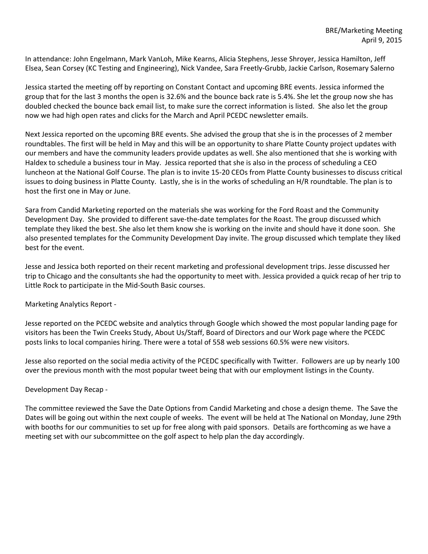In attendance: John Engelmann, Mark VanLoh, Mike Kearns, Alicia Stephens, Jesse Shroyer, Jessica Hamilton, Jeff Elsea, Sean Corsey (KC Testing and Engineering), Nick Vandee, Sara Freetly-Grubb, Jackie Carlson, Rosemary Salerno

Jessica started the meeting off by reporting on Constant Contact and upcoming BRE events. Jessica informed the group that for the last 3 months the open is 32.6% and the bounce back rate is 5.4%. She let the group now she has doubled checked the bounce back email list, to make sure the correct information is listed. She also let the group now we had high open rates and clicks for the March and April PCEDC newsletter emails.

Next Jessica reported on the upcoming BRE events. She advised the group that she is in the processes of 2 member roundtables. The first will be held in May and this will be an opportunity to share Platte County project updates with our members and have the community leaders provide updates as well. She also mentioned that she is working with Haldex to schedule a business tour in May. Jessica reported that she is also in the process of scheduling a CEO luncheon at the National Golf Course. The plan is to invite 15-20 CEOs from Platte County businesses to discuss critical issues to doing business in Platte County. Lastly, she is in the works of scheduling an H/R roundtable. The plan is to host the first one in May or June.

Sara from Candid Marketing reported on the materials she was working for the Ford Roast and the Community Development Day. She provided to different save-the-date templates for the Roast. The group discussed which template they liked the best. She also let them know she is working on the invite and should have it done soon. She also presented templates for the Community Development Day invite. The group discussed which template they liked best for the event.

Jesse and Jessica both reported on their recent marketing and professional development trips. Jesse discussed her trip to Chicago and the consultants she had the opportunity to meet with. Jessica provided a quick recap of her trip to Little Rock to participate in the Mid-South Basic courses.

Marketing Analytics Report -

Jesse reported on the PCEDC website and analytics through Google which showed the most popular landing page for visitors has been the Twin Creeks Study, About Us/Staff, Board of Directors and our Work page where the PCEDC posts links to local companies hiring. There were a total of 558 web sessions 60.5% were new visitors.

Jesse also reported on the social media activity of the PCEDC specifically with Twitter. Followers are up by nearly 100 over the previous month with the most popular tweet being that with our employment listings in the County.

# Development Day Recap -

The committee reviewed the Save the Date Options from Candid Marketing and chose a design theme. The Save the Dates will be going out within the next couple of weeks. The event will be held at The National on Monday, June 29th with booths for our communities to set up for free along with paid sponsors. Details are forthcoming as we have a meeting set with our subcommittee on the golf aspect to help plan the day accordingly.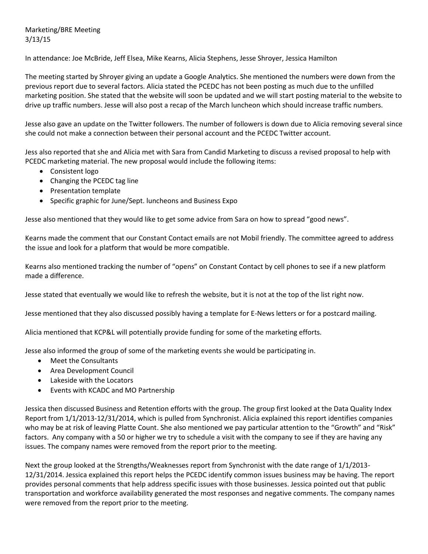Marketing/BRE Meeting 3/13/15

In attendance: Joe McBride, Jeff Elsea, Mike Kearns, Alicia Stephens, Jesse Shroyer, Jessica Hamilton

The meeting started by Shroyer giving an update a Google Analytics. She mentioned the numbers were down from the previous report due to several factors. Alicia stated the PCEDC has not been posting as much due to the unfilled marketing position. She stated that the website will soon be updated and we will start posting material to the website to drive up traffic numbers. Jesse will also post a recap of the March luncheon which should increase traffic numbers.

Jesse also gave an update on the Twitter followers. The number of followers is down due to Alicia removing several since she could not make a connection between their personal account and the PCEDC Twitter account.

Jess also reported that she and Alicia met with Sara from Candid Marketing to discuss a revised proposal to help with PCEDC marketing material. The new proposal would include the following items:

- Consistent logo
- Changing the PCEDC tag line
- Presentation template
- Specific graphic for June/Sept. luncheons and Business Expo

Jesse also mentioned that they would like to get some advice from Sara on how to spread "good news".

Kearns made the comment that our Constant Contact emails are not Mobil friendly. The committee agreed to address the issue and look for a platform that would be more compatible.

Kearns also mentioned tracking the number of "opens" on Constant Contact by cell phones to see if a new platform made a difference.

Jesse stated that eventually we would like to refresh the website, but it is not at the top of the list right now.

Jesse mentioned that they also discussed possibly having a template for E-News letters or for a postcard mailing.

Alicia mentioned that KCP&L will potentially provide funding for some of the marketing efforts.

Jesse also informed the group of some of the marketing events she would be participating in.

- Meet the Consultants
- Area Development Council
- Lakeside with the Locators
- Events with KCADC and MO Partnership

Jessica then discussed Business and Retention efforts with the group. The group first looked at the Data Quality Index Report from 1/1/2013-12/31/2014, which is pulled from Synchronist. Alicia explained this report identifies companies who may be at risk of leaving Platte Count. She also mentioned we pay particular attention to the "Growth" and "Risk" factors. Any company with a 50 or higher we try to schedule a visit with the company to see if they are having any issues. The company names were removed from the report prior to the meeting.

Next the group looked at the Strengths/Weaknesses report from Synchronist with the date range of 1/1/2013- 12/31/2014. Jessica explained this report helps the PCEDC identify common issues business may be having. The report provides personal comments that help address specific issues with those businesses. Jessica pointed out that public transportation and workforce availability generated the most responses and negative comments. The company names were removed from the report prior to the meeting.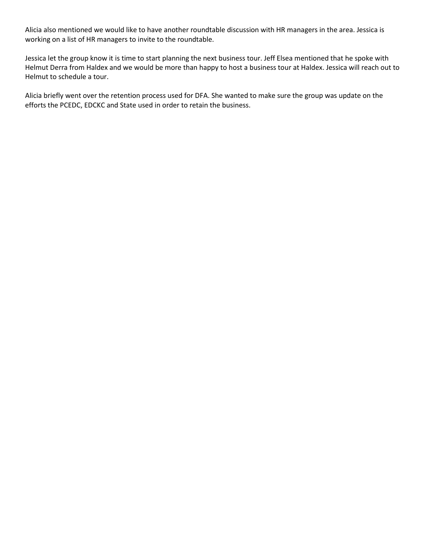Alicia also mentioned we would like to have another roundtable discussion with HR managers in the area. Jessica is working on a list of HR managers to invite to the roundtable.

Jessica let the group know it is time to start planning the next business tour. Jeff Elsea mentioned that he spoke with Helmut Derra from Haldex and we would be more than happy to host a business tour at Haldex. Jessica will reach out to Helmut to schedule a tour.

Alicia briefly went over the retention process used for DFA. She wanted to make sure the group was update on the efforts the PCEDC, EDCKC and State used in order to retain the business.